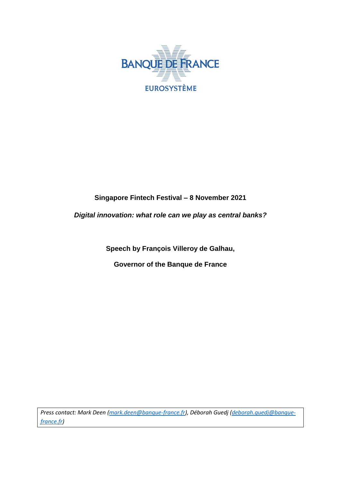

## **Singapore Fintech Festival – 8 November 2021**

*Digital innovation: what role can we play as central banks?*

**Speech by François Villeroy de Galhau,**

**Governor of the Banque de France**

*Press contact: Mark Deen [\(mark.deen@banque-france.fr\)](mailto:mark.deen@banque-france.fr), Déborah Guedj [\(deborah.guedj@banque](mailto:deborah.guedj@banque-france.fr)[france.fr\)](mailto:deborah.guedj@banque-france.fr)*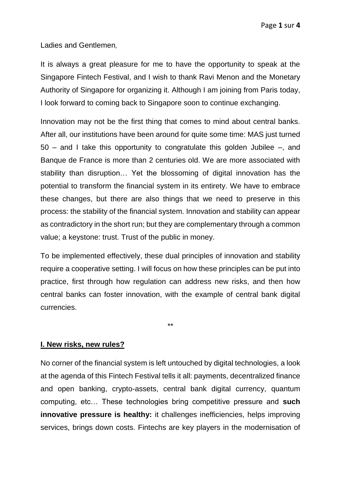Ladies and Gentlemen,

It is always a great pleasure for me to have the opportunity to speak at the Singapore Fintech Festival, and I wish to thank Ravi Menon and the Monetary Authority of Singapore for organizing it. Although I am joining from Paris today, I look forward to coming back to Singapore soon to continue exchanging.

Innovation may not be the first thing that comes to mind about central banks. After all, our institutions have been around for quite some time: MAS just turned 50 – and I take this opportunity to congratulate this golden Jubilee –, and Banque de France is more than 2 centuries old. We are more associated with stability than disruption… Yet the blossoming of digital innovation has the potential to transform the financial system in its entirety. We have to embrace these changes, but there are also things that we need to preserve in this process: the stability of the financial system. Innovation and stability can appear as contradictory in the short run; but they are complementary through a common value; a keystone: trust. Trust of the public in money.

To be implemented effectively, these dual principles of innovation and stability require a cooperative setting. I will focus on how these principles can be put into practice, first through how regulation can address new risks, and then how central banks can foster innovation, with the example of central bank digital currencies.

\*\*

## **I. New risks, new rules?**

No corner of the financial system is left untouched by digital technologies, a look at the agenda of this Fintech Festival tells it all: payments, decentralized finance and open banking, crypto-assets, central bank digital currency, quantum computing, etc… These technologies bring competitive pressure and **such innovative pressure is healthy:** it challenges inefficiencies, helps improving services, brings down costs. Fintechs are key players in the modernisation of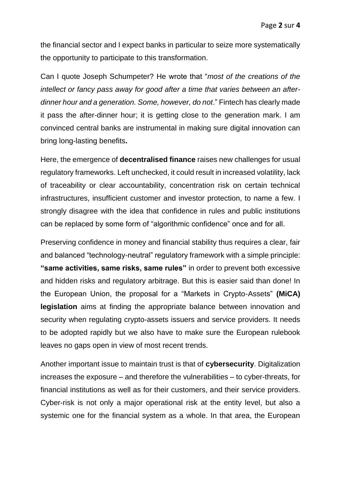the financial sector and I expect banks in particular to seize more systematically the opportunity to participate to this transformation.

Can I quote Joseph Schumpeter? He wrote that "*most of the creations of the intellect or fancy pass away for good after a time that varies between an afterdinner hour and a generation. Some, however, do not*." Fintech has clearly made it pass the after-dinner hour; it is getting close to the generation mark. I am convinced central banks are instrumental in making sure digital innovation can bring long-lasting benefits**.**

Here, the emergence of **decentralised finance** raises new challenges for usual regulatory frameworks. Left unchecked, it could result in increased volatility, lack of traceability or clear accountability, concentration risk on certain technical infrastructures, insufficient customer and investor protection, to name a few. I strongly disagree with the idea that confidence in rules and public institutions can be replaced by some form of "algorithmic confidence" once and for all.

Preserving confidence in money and financial stability thus requires a clear, fair and balanced "technology-neutral" regulatory framework with a simple principle: **"same activities, same risks, same rules"** in order to prevent both excessive and hidden risks and regulatory arbitrage. But this is easier said than done! In the European Union, the proposal for a "Markets in Crypto-Assets" **(MiCA) legislation** aims at finding the appropriate balance between innovation and security when regulating crypto-assets issuers and service providers. It needs to be adopted rapidly but we also have to make sure the European rulebook leaves no gaps open in view of most recent trends.

Another important issue to maintain trust is that of **cybersecurity**. Digitalization increases the exposure – and therefore the vulnerabilities – to cyber-threats, for financial institutions as well as for their customers, and their service providers. Cyber-risk is not only a major operational risk at the entity level, but also a systemic one for the financial system as a whole. In that area, the European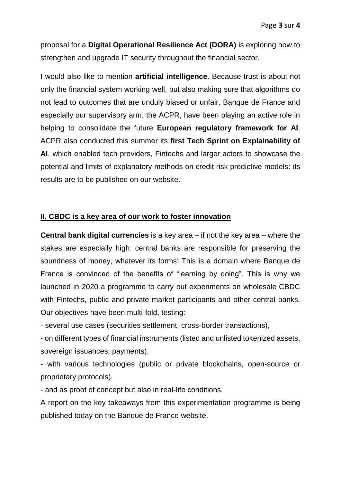proposal for a **Digital Operational Resilience Act (DORA)** is exploring how to strengthen and upgrade IT security throughout the financial sector.

I would also like to mention **artificial intelligence**. Because trust is about not only the financial system working well, but also making sure that algorithms do not lead to outcomes that are unduly biased or unfair. Banque de France and especially our supervisory arm, the ACPR, have been playing an active role in helping to consolidate the future **European regulatory framework for AI**. ACPR also conducted this summer its **first Tech Sprint on Explainability of AI**, which enabled tech providers, Fintechs and larger actors to showcase the potential and limits of explanatory methods on credit risk predictive models: its results are to be published on our website.

## **II. CBDC is a key area of our work to foster innovation**

**Central bank digital currencies** is a key area – if not the key area – where the stakes are especially high: central banks are responsible for preserving the soundness of money, whatever its forms! This is a domain where Banque de France is convinced of the benefits of "learning by doing". This is why we launched in 2020 a programme to carry out experiments on wholesale CBDC with Fintechs, public and private market participants and other central banks. Our objectives have been multi-fold, testing:

- several use cases (securities settlement, cross-border transactions),

- on different types of financial instruments (listed and unlisted tokenized assets, sovereign issuances, payments),

- with various technologies (public or private blockchains, open-source or proprietary protocols),

- and as proof of concept but also in real-life conditions.

A report on the key takeaways from this experimentation programme is being published today on the Banque de France website.